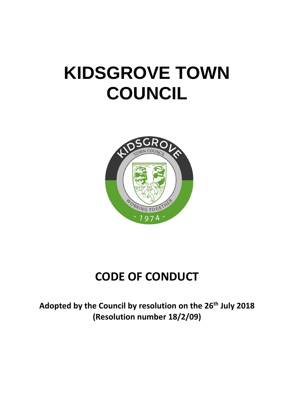# **KIDSGROVE TOWN COUNCIL**



# **CODE OF CONDUCT**

**Adopted by the Council by resolution on the 26th July 2018 (Resolution number 18/2/09)**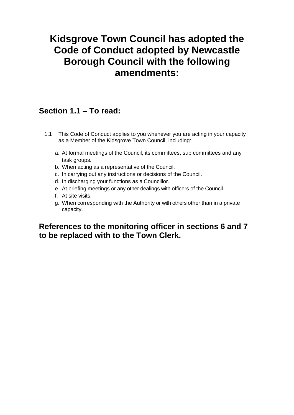# **Kidsgrove Town Council has adopted the Code of Conduct adopted by Newcastle Borough Council with the following amendments:**

# **Section 1.1 – To read:**

- 1.1 This Code of Conduct applies to you whenever you are acting in your capacity as a Member of the Kidsgrove Town Council, including:
	- a. At formal meetings of the Council, its committees, sub committees and any task groups.
	- b. When acting as a representative of the Council.
	- c. In carrying out any instructions or decisions of the Council.
	- d. In discharging your functions as a Councillor.
	- e. At briefing meetings or any other dealings with officers of the Council.
	- f. At site visits.
	- g. When corresponding with the Authority or with others other than in a private capacity.

### **References to the monitoring officer in sections 6 and 7 to be replaced with to the Town Clerk.**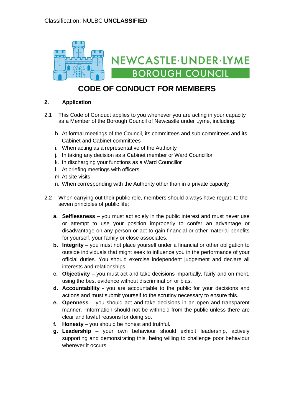

# **CODE OF CONDUCT FOR MEMBERS**

#### **2. Application**

- 2.1 This Code of Conduct applies to you whenever you are acting in your capacity as a Member of the Borough Council of Newcastle under Lyme, including:
	- h. At formal meetings of the Council, its committees and sub committees and its Cabinet and Cabinet committees
	- i. When acting as a representative of the Authority
	- j. In taking any decision as a Cabinet member or Ward Councillor
	- k. In discharging your functions as a Ward Councillor
	- l. At briefing meetings with officers
	- m. At site visits
	- n. When corresponding with the Authority other than in a private capacity
- 2.2 When carrying out their public role, members should always have regard to the seven principles of public life;
	- **a. Selflessness**  you must act solely in the public interest and must never use or attempt to use your position improperly to confer an advantage or disadvantage on any person or act to gain financial or other material benefits for yourself, your family or close associates.
	- **b. Integrity** you must not place yourself under a financial or other obligation to outside individuals that might seek to influence you in the performance of your official duties. You should exercise independent judgement and declare all interests and relationships.
	- **c. Objectivity**  you must act and take decisions impartially, fairly and on merit, using the best evidence without discrimination or bias.
	- **d. Accountability**  you are accountable to the public for your decisions and actions and must submit yourself to the scrutiny necessary to ensure this.
	- **e. Openness**  you should act and take decisions in an open and transparent manner. Information should not be withheld from the public unless there are clear and lawful reasons for doing so.
	- **f. Honesty** you should be honest and truthful.
	- **g. Leadership**  your own behaviour should exhibit leadership, actively supporting and demonstrating this, being willing to challenge poor behaviour wherever it occurs.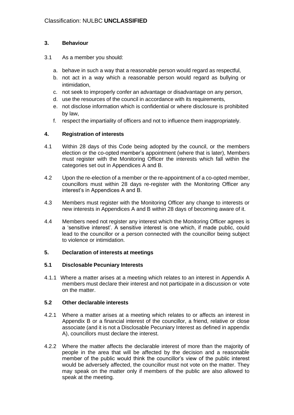#### **3. Behaviour**

#### 3.1 As a member you should:

- a. behave in such a way that a reasonable person would regard as respectful,
- b. not act in a way which a reasonable person would regard as bullying or intimidation,
- c. not seek to improperly confer an advantage or disadvantage on any person,
- d. use the resources of the council in accordance with its requirements,
- e. not disclose information which is confidential or where disclosure is prohibited by law,
- f. respect the impartiality of officers and not to influence them inappropriately.

#### **4. Registration of interests**

- 4.1 Within 28 days of this Code being adopted by the council, or the members election or the co-opted member's appointment (where that is later), Members must register with the Monitoring Officer the interests which fall within the categories set out in Appendices A and B.
- 4.2 Upon the re-election of a member or the re-appointment of a co-opted member, councillors must within 28 days re-register with the Monitoring Officer any interest's in Appendices A and B.
- 4.3 Members must register with the Monitoring Officer any change to interests or new interests in Appendices A and B within 28 days of becoming aware of it.
- 4.4 Members need not register any interest which the Monitoring Officer agrees is a 'sensitive interest'. A sensitive interest is one which, if made public, could lead to the councillor or a person connected with the councillor being subject to violence or intimidation.

#### **5. Declaration of interests at meetings**

#### **5.1 Disclosable Pecuniary Interests**

4.1.1 Where a matter arises at a meeting which relates to an interest in Appendix A members must declare their interest and not participate in a discussion or vote on the matter.

#### **5.2 Other declarable interests**

- 4.2.1 Where a matter arises at a meeting which relates to or affects an interest in Appendix B or a financial interest of the councillor, a friend, relative or close associate (and it is not a Disclosable Pecuniary Interest as defined in appendix A), councillors must declare the interest.
- 4.2.2 Where the matter affects the declarable interest of more than the majority of people in the area that will be affected by the decision and a reasonable member of the public would think the councillor's view of the public interest would be adversely affected, the councillor must not vote on the matter. They may speak on the matter only if members of the public are also allowed to speak at the meeting.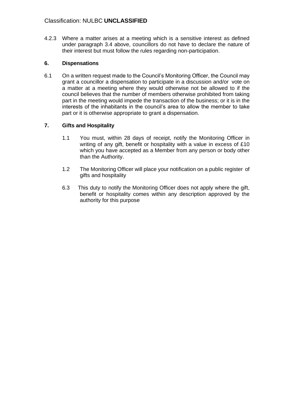4.2.3 Where a matter arises at a meeting which is a sensitive interest as defined under paragraph 3.4 above, councillors do not have to declare the nature of their interest but must follow the rules regarding non-participation.

#### **6. Dispensations**

6.1 On a written request made to the Council's Monitoring Officer, the Council may grant a councillor a dispensation to participate in a discussion and/or vote on a matter at a meeting where they would otherwise not be allowed to if the council believes that the number of members otherwise prohibited from taking part in the meeting would impede the transaction of the business; or it is in the interests of the inhabitants in the council's area to allow the member to take part or it is otherwise appropriate to grant a dispensation.

#### **7. Gifts and Hospitality**

- 1.1 You must, within 28 days of receipt, notify the Monitoring Officer in writing of any gift, benefit or hospitality with a value in excess of £10 which you have accepted as a Member from any person or body other than the Authority.
- 1.2 The Monitoring Officer will place your notification on a public register of gifts and hospitality
- 6.3 This duty to notify the Monitoring Officer does not apply where the gift, benefit or hospitality comes within any description approved by the authority for this purpose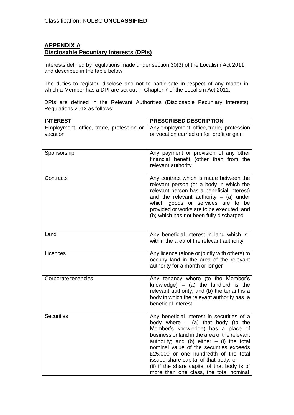#### **APPENDIX A Disclosable Pecuniary Interests (DPIs)**

Interests defined by regulations made under section 30(3) of the Localism Act 2011 and described in the table below.

The duties to register, disclose and not to participate in respect of any matter in which a Member has a DPI are set out in Chapter 7 of the Localism Act 2011.

DPIs are defined in the Relevant Authorities (Disclosable Pecuniary Interests) Regulations 2012 as follows:

| <b>INTEREST</b>                                      | <b>PRESCRIBED DESCRIPTION</b>                                                                                                                                                                                                                                                                                                                                                                                                                  |
|------------------------------------------------------|------------------------------------------------------------------------------------------------------------------------------------------------------------------------------------------------------------------------------------------------------------------------------------------------------------------------------------------------------------------------------------------------------------------------------------------------|
| Employment, office, trade, profession or<br>vacation | Any employment, office, trade, profession<br>or vocation carried on for profit or gain                                                                                                                                                                                                                                                                                                                                                         |
| Sponsorship                                          | Any payment or provision of any other<br>financial benefit (other than from the<br>relevant authority                                                                                                                                                                                                                                                                                                                                          |
| Contracts                                            | Any contract which is made between the<br>relevant person (or a body in which the<br>relevant person has a beneficial interest)<br>and the relevant authority $-$ (a) under<br>which goods or services are to be<br>provided or works are to be executed; and<br>(b) which has not been fully discharged                                                                                                                                       |
| Land                                                 | Any beneficial interest in land which is<br>within the area of the relevant authority                                                                                                                                                                                                                                                                                                                                                          |
| Licences                                             | Any licence (alone or jointly with others) to<br>occupy land in the area of the relevant<br>authority for a month or longer                                                                                                                                                                                                                                                                                                                    |
| Corporate tenancies                                  | Any tenancy where (to the Member's<br>knowledge) $-$ (a) the landlord is the<br>relevant authority; and (b) the tenant is a<br>body in which the relevant authority has a<br>beneficial interest                                                                                                                                                                                                                                               |
| <b>Securities</b>                                    | Any beneficial interest in securities of a<br>body where $-$ (a) that body (to the<br>Member's knowledge) has a place of<br>business or land in the area of the relevant<br>authority; and (b) either $-$ (i) the total<br>nominal value of the securities exceeds<br>£25,000 or one hundredth of the total<br>issued share capital of that body; or<br>(ii) if the share capital of that body is of<br>more than one class, the total nominal |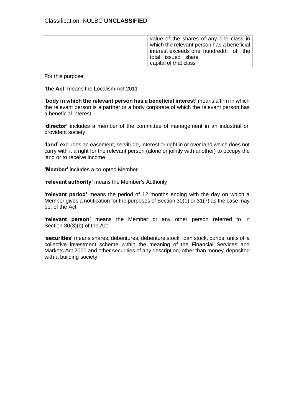| value of the shares of any one class in<br>which the relevant person has a beneficial |
|---------------------------------------------------------------------------------------|
| interest exceeds one hundredth of the<br>total issued share<br>capital of that class  |

For this purpose:

**'the Act'** means the Localism Act 2011

**'body in which the relevant person has a beneficial interest'** means a firm in which the relevant person is a partner or a body corporate of which the relevant person has a beneficial interest

**'director'** includes a member of the committee of management in an industrial or provident society

**'land'** excludes an easement, servitude, interest or right in or over land which does not carry with it a right for the relevant person (alone or jointly with another) to occupy the land or to receive income

**'Member'** includes a co-opted Member

**'relevant authority'** means the Member's Authority

**'relevant period'** means the period of 12 months ending with the day on which a Member gives a notification for the purposes of Section 30(1) or 31(7) as the case may be, of the Act

**'relevant person'** means the Member or any other person referred to in Section 30(3)(b) of the Act

**'securities'** means shares, debentures, debenture stock, loan stock, bonds, units of a collective investment scheme within the meaning of the Financial Services and Markets Act 2000 and other securities of any description, other than money deposited with a building society.